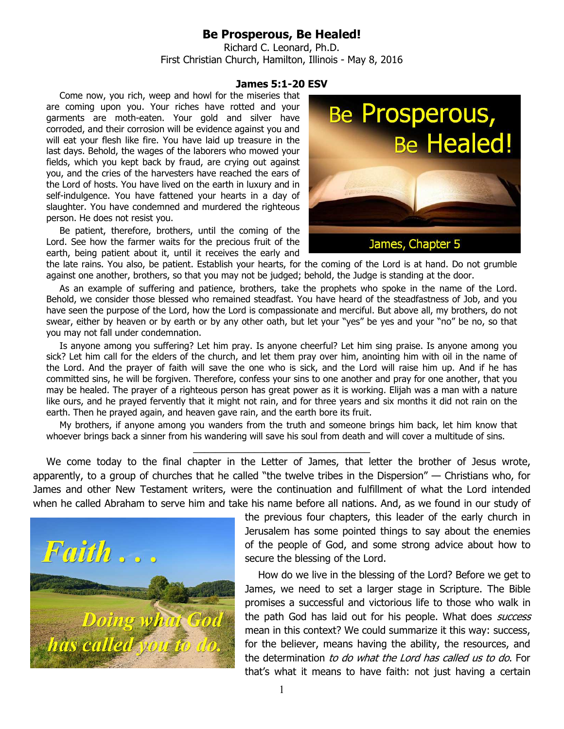## **Be Prosperous, Be Healed!**

Richard C. Leonard, Ph.D. First Christian Church, Hamilton, Illinois - May 8, 2016

## **James 5:1-20 ESV**

Come now, you rich, weep and howl for the miseries that are coming upon you. Your riches have rotted and your garments are moth-eaten. Your gold and silver have corroded, and their corrosion will be evidence against you and will eat your flesh like fire. You have laid up treasure in the last days. Behold, the wages of the laborers who mowed your fields, which you kept back by fraud, are crying out against you, and the cries of the harvesters have reached the ears of the Lord of hosts. You have lived on the earth in luxury and in self-indulgence. You have fattened your hearts in a day of slaughter. You have condemned and murdered the righteous person. He does not resist you.

Be patient, therefore, brothers, until the coming of the Lord. See how the farmer waits for the precious fruit of the earth, being patient about it, until it receives the early and



the late rains. You also, be patient. Establish your hearts, for the coming of the Lord is at hand. Do not grumble against one another, brothers, so that you may not be judged; behold, the Judge is standing at the door.

As an example of suffering and patience, brothers, take the prophets who spoke in the name of the Lord. Behold, we consider those blessed who remained steadfast. You have heard of the steadfastness of Job, and you have seen the purpose of the Lord, how the Lord is compassionate and merciful. But above all, my brothers, do not swear, either by heaven or by earth or by any other oath, but let your "yes" be yes and your "no" be no, so that you may not fall under condemnation.

Is anyone among you suffering? Let him pray. Is anyone cheerful? Let him sing praise. Is anyone among you sick? Let him call for the elders of the church, and let them pray over him, anointing him with oil in the name of the Lord. And the prayer of faith will save the one who is sick, and the Lord will raise him up. And if he has committed sins, he will be forgiven. Therefore, confess your sins to one another and pray for one another, that you may be healed. The prayer of a righteous person has great power as it is working. Elijah was a man with a nature like ours, and he prayed fervently that it might not rain, and for three years and six months it did not rain on the earth. Then he prayed again, and heaven gave rain, and the earth bore its fruit.

My brothers, if anyone among you wanders from the truth and someone brings him back, let him know that whoever brings back a sinner from his wandering will save his soul from death and will cover a multitude of sins. \_\_\_\_\_\_\_\_\_\_\_\_\_\_\_\_\_\_\_\_\_\_\_\_\_\_\_\_\_\_\_\_

We come today to the final chapter in the Letter of James, that letter the brother of Jesus wrote, apparently, to a group of churches that he called "the twelve tribes in the Dispersion" — Christians who, for James and other New Testament writers, were the continuation and fulfillment of what the Lord intended when he called Abraham to serve him and take his name before all nations. And, as we found in our study of



the previous four chapters, this leader of the early church in Jerusalem has some pointed things to say about the enemies of the people of God, and some strong advice about how to secure the blessing of the Lord.

How do we live in the blessing of the Lord? Before we get to James, we need to set a larger stage in Scripture. The Bible promises a successful and victorious life to those who walk in the path God has laid out for his people. What does success mean in this context? We could summarize it this way: success, for the believer, means having the ability, the resources, and the determination to do what the Lord has called us to do. For that's what it means to have faith: not just having a certain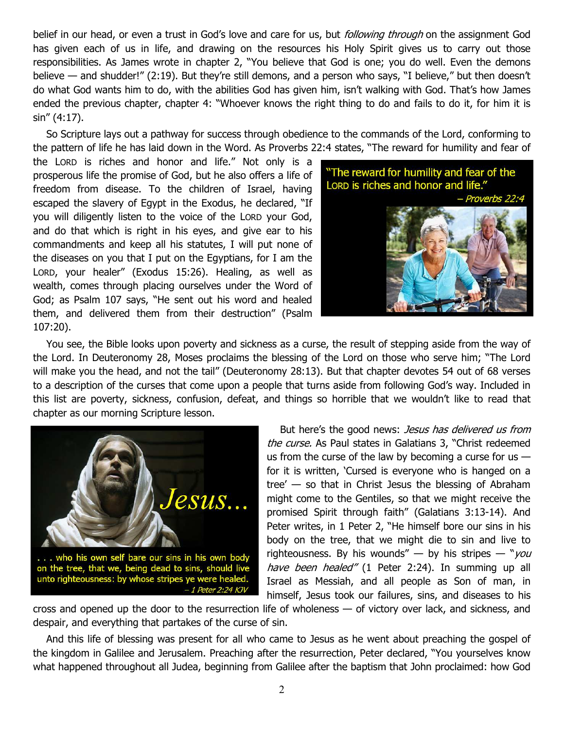belief in our head, or even a trust in God's love and care for us, but *following through* on the assignment God has given each of us in life, and drawing on the resources his Holy Spirit gives us to carry out those responsibilities. As James wrote in chapter 2, "You believe that God is one; you do well. Even the demons believe — and shudder!" (2:19). But they're still demons, and a person who says, "I believe," but then doesn't do what God wants him to do, with the abilities God has given him, isn't walking with God. That's how James ended the previous chapter, chapter 4: "Whoever knows the right thing to do and fails to do it, for him it is sin" (4:17).

So Scripture lays out a pathway for success through obedience to the commands of the Lord, conforming to the pattern of life he has laid down in the Word. As Proverbs 22:4 states, "The reward for humility and fear of

the LORD is riches and honor and life." Not only is a prosperous life the promise of God, but he also offers a life of freedom from disease. To the children of Israel, having escaped the slavery of Egypt in the Exodus, he declared, "If you will diligently listen to the voice of the LORD your God, and do that which is right in his eyes, and give ear to his commandments and keep all his statutes, I will put none of the diseases on you that I put on the Egyptians, for I am the LORD, your healer" (Exodus 15:26). Healing, as well as wealth, comes through placing ourselves under the Word of God; as Psalm 107 says, "He sent out his word and healed them, and delivered them from their destruction" (Psalm 107:20).



You see, the Bible looks upon poverty and sickness as a curse, the result of stepping aside from the way of the Lord. In Deuteronomy 28, Moses proclaims the blessing of the Lord on those who serve him; "The Lord will make you the head, and not the tail" (Deuteronomy 28:13). But that chapter devotes 54 out of 68 verses to a description of the curses that come upon a people that turns aside from following God's way. Included in this list are poverty, sickness, confusion, defeat, and things so horrible that we wouldn't like to read that chapter as our morning Scripture lesson.



But here's the good news: *Jesus has delivered us from* the curse. As Paul states in Galatians 3, "Christ redeemed us from the curse of the law by becoming a curse for us  $$ for it is written, 'Cursed is everyone who is hanged on a tree' — so that in Christ Jesus the blessing of Abraham might come to the Gentiles, so that we might receive the promised Spirit through faith" (Galatians 3:13-14). And Peter writes, in 1 Peter 2, "He himself bore our sins in his body on the tree, that we might die to sin and live to righteousness. By his wounds" — by his stripes — " $vou$ have been healed" (1 Peter 2:24). In summing up all Israel as Messiah, and all people as Son of man, in himself, Jesus took our failures, sins, and diseases to his

cross and opened up the door to the resurrection life of wholeness — of victory over lack, and sickness, and despair, and everything that partakes of the curse of sin.

And this life of blessing was present for all who came to Jesus as he went about preaching the gospel of the kingdom in Galilee and Jerusalem. Preaching after the resurrection, Peter declared, "You yourselves know what happened throughout all Judea, beginning from Galilee after the baptism that John proclaimed: how God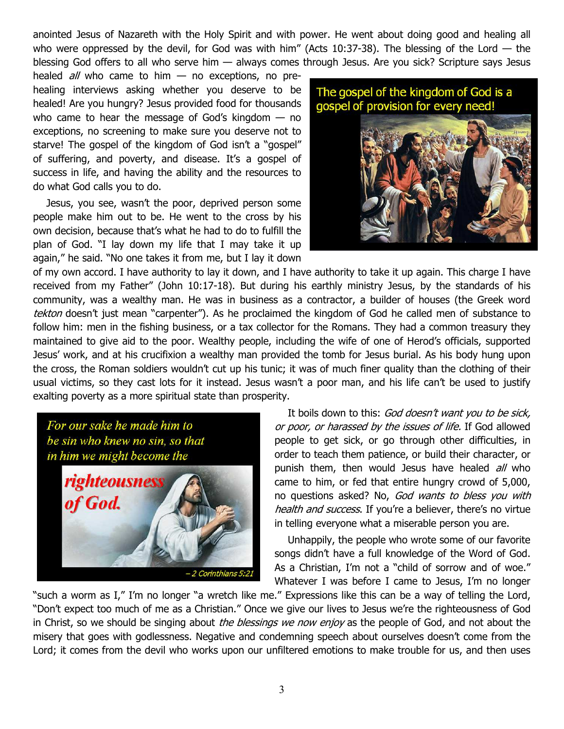anointed Jesus of Nazareth with the Holy Spirit and with power. He went about doing good and healing all who were oppressed by the devil, for God was with him" (Acts 10:37-38). The blessing of the Lord — the blessing God offers to all who serve him — always comes through Jesus. Are you sick? Scripture says Jesus

healed  $all$  who came to him  $-$  no exceptions, no prehealing interviews asking whether you deserve to be healed! Are you hungry? Jesus provided food for thousands who came to hear the message of God's kingdom — no exceptions, no screening to make sure you deserve not to starve! The gospel of the kingdom of God isn't a "gospel" of suffering, and poverty, and disease. It's a gospel of success in life, and having the ability and the resources to do what God calls you to do.

Jesus, you see, wasn't the poor, deprived person some people make him out to be. He went to the cross by his own decision, because that's what he had to do to fulfill the plan of God. "I lay down my life that I may take it up again," he said. "No one takes it from me, but I lay it down





of my own accord. I have authority to lay it down, and I have authority to take it up again. This charge I have received from my Father" (John 10:17-18). But during his earthly ministry Jesus, by the standards of his community, was a wealthy man. He was in business as a contractor, a builder of houses (the Greek word tekton doesn't just mean "carpenter"). As he proclaimed the kingdom of God he called men of substance to follow him: men in the fishing business, or a tax collector for the Romans. They had a common treasury they maintained to give aid to the poor. Wealthy people, including the wife of one of Herod's officials, supported Jesus' work, and at his crucifixion a wealthy man provided the tomb for Jesus burial. As his body hung upon the cross, the Roman soldiers wouldn't cut up his tunic; it was of much finer quality than the clothing of their usual victims, so they cast lots for it instead. Jesus wasn't a poor man, and his life can't be used to justify exalting poverty as a more spiritual state than prosperity.

For our sake he made him to be sin who knew no sin, so that in him we might become the



It boils down to this: God doesn't want you to be sick, or poor, or harassed by the issues of life. If God allowed people to get sick, or go through other difficulties, in order to teach them patience, or build their character, or punish them, then would Jesus have healed all who came to him, or fed that entire hungry crowd of 5,000, no questions asked? No, God wants to bless you with health and success. If you're a believer, there's no virtue in telling everyone what a miserable person you are.

Unhappily, the people who wrote some of our favorite songs didn't have a full knowledge of the Word of God. As a Christian, I'm not a "child of sorrow and of woe." Whatever I was before I came to Jesus, I'm no longer

"such a worm as I," I'm no longer "a wretch like me." Expressions like this can be a way of telling the Lord, "Don't expect too much of me as a Christian." Once we give our lives to Jesus we're the righteousness of God in Christ, so we should be singing about the blessings we now enjoy as the people of God, and not about the misery that goes with godlessness. Negative and condemning speech about ourselves doesn't come from the Lord; it comes from the devil who works upon our unfiltered emotions to make trouble for us, and then uses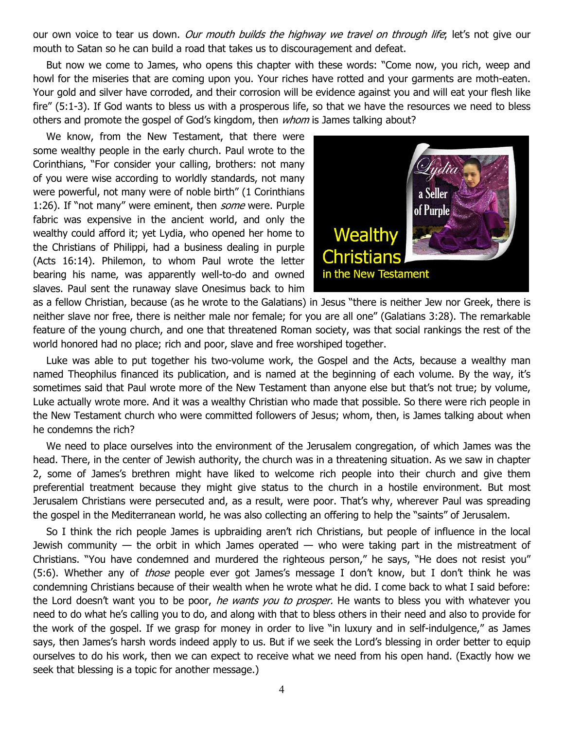our own voice to tear us down. Our mouth builds the highway we travel on through life; let's not give our mouth to Satan so he can build a road that takes us to discouragement and defeat.

But now we come to James, who opens this chapter with these words: "Come now, you rich, weep and howl for the miseries that are coming upon you. Your riches have rotted and your garments are moth-eaten. Your gold and silver have corroded, and their corrosion will be evidence against you and will eat your flesh like fire" (5:1-3). If God wants to bless us with a prosperous life, so that we have the resources we need to bless others and promote the gospel of God's kingdom, then whom is James talking about?

We know, from the New Testament, that there were some wealthy people in the early church. Paul wrote to the Corinthians, "For consider your calling, brothers: not many of you were wise according to worldly standards, not many were powerful, not many were of noble birth" (1 Corinthians 1:26). If "not many" were eminent, then *some* were. Purple fabric was expensive in the ancient world, and only the wealthy could afford it; yet Lydia, who opened her home to the Christians of Philippi, had a business dealing in purple (Acts 16:14). Philemon, to whom Paul wrote the letter bearing his name, was apparently well-to-do and owned slaves. Paul sent the runaway slave Onesimus back to him



as a fellow Christian, because (as he wrote to the Galatians) in Jesus "there is neither Jew nor Greek, there is neither slave nor free, there is neither male nor female; for you are all one" (Galatians 3:28). The remarkable feature of the young church, and one that threatened Roman society, was that social rankings the rest of the world honored had no place; rich and poor, slave and free worshiped together.

Luke was able to put together his two-volume work, the Gospel and the Acts, because a wealthy man named Theophilus financed its publication, and is named at the beginning of each volume. By the way, it's sometimes said that Paul wrote more of the New Testament than anyone else but that's not true; by volume, Luke actually wrote more. And it was a wealthy Christian who made that possible. So there were rich people in the New Testament church who were committed followers of Jesus; whom, then, is James talking about when he condemns the rich?

We need to place ourselves into the environment of the Jerusalem congregation, of which James was the head. There, in the center of Jewish authority, the church was in a threatening situation. As we saw in chapter 2, some of James's brethren might have liked to welcome rich people into their church and give them preferential treatment because they might give status to the church in a hostile environment. But most Jerusalem Christians were persecuted and, as a result, were poor. That's why, wherever Paul was spreading the gospel in the Mediterranean world, he was also collecting an offering to help the "saints" of Jerusalem.

So I think the rich people James is upbraiding aren't rich Christians, but people of influence in the local Jewish community  $-$  the orbit in which James operated  $-$  who were taking part in the mistreatment of Christians. "You have condemned and murdered the righteous person," he says, "He does not resist you" (5:6). Whether any of *those* people ever got James's message I don't know, but I don't think he was condemning Christians because of their wealth when he wrote what he did. I come back to what I said before: the Lord doesn't want you to be poor, *he wants you to prosper*. He wants to bless you with whatever you need to do what he's calling you to do, and along with that to bless others in their need and also to provide for the work of the gospel. If we grasp for money in order to live "in luxury and in self-indulgence," as James says, then James's harsh words indeed apply to us. But if we seek the Lord's blessing in order better to equip ourselves to do his work, then we can expect to receive what we need from his open hand. (Exactly how we seek that blessing is a topic for another message.)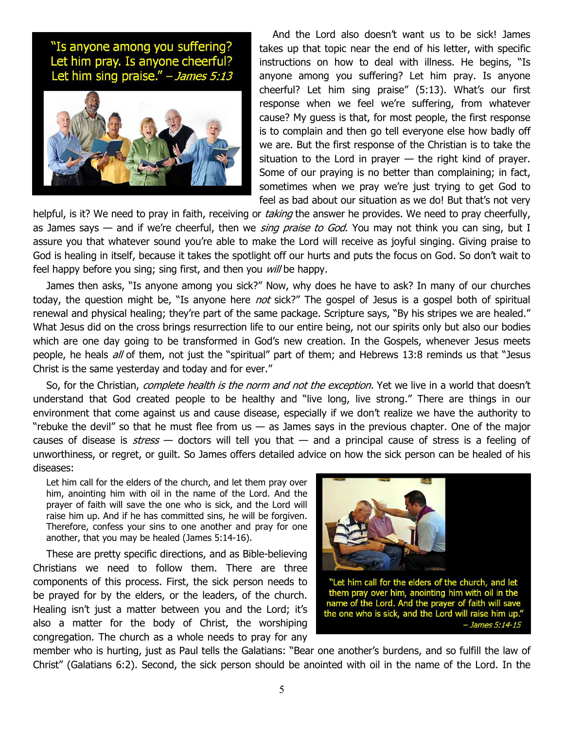"Is anyone among you suffering? Let him pray. Is anyone cheerful? Let him sing praise."  $-$  James 5:13



And the Lord also doesn't want us to be sick! James takes up that topic near the end of his letter, with specific instructions on how to deal with illness. He begins, "Is anyone among you suffering? Let him pray. Is anyone cheerful? Let him sing praise" (5:13). What's our first response when we feel we're suffering, from whatever cause? My guess is that, for most people, the first response is to complain and then go tell everyone else how badly off we are. But the first response of the Christian is to take the situation to the Lord in prayer  $-$  the right kind of prayer. Some of our praying is no better than complaining; in fact, sometimes when we pray we're just trying to get God to feel as bad about our situation as we do! But that's not very

helpful, is it? We need to pray in faith, receiving or *taking* the answer he provides. We need to pray cheerfully, as James says  $-$  and if we're cheerful, then we *sing praise to God*. You may not think you can sing, but I assure you that whatever sound you're able to make the Lord will receive as joyful singing. Giving praise to God is healing in itself, because it takes the spotlight off our hurts and puts the focus on God. So don't wait to feel happy before you sing; sing first, and then you *will* be happy.

James then asks, "Is anyone among you sick?" Now, why does he have to ask? In many of our churches today, the question might be, "Is anyone here *not* sick?" The gospel of Jesus is a gospel both of spiritual renewal and physical healing; they're part of the same package. Scripture says, "By his stripes we are healed." What Jesus did on the cross brings resurrection life to our entire being, not our spirits only but also our bodies which are one day going to be transformed in God's new creation. In the Gospels, whenever Jesus meets people, he heals all of them, not just the "spiritual" part of them; and Hebrews 13:8 reminds us that "Jesus Christ is the same yesterday and today and for ever."

So, for the Christian, *complete health is the norm and not the exception*. Yet we live in a world that doesn't understand that God created people to be healthy and "live long, live strong." There are things in our environment that come against us and cause disease, especially if we don't realize we have the authority to "rebuke the devil" so that he must flee from us  $-$  as James says in the previous chapter. One of the major causes of disease is  $stress -$  doctors will tell you that  $-$  and a principal cause of stress is a feeling of unworthiness, or regret, or guilt. So James offers detailed advice on how the sick person can be healed of his diseases:

Let him call for the elders of the church, and let them pray over him, anointing him with oil in the name of the Lord. And the prayer of faith will save the one who is sick, and the Lord will raise him up. And if he has committed sins, he will be forgiven. Therefore, confess your sins to one another and pray for one another, that you may be healed (James 5:14-16).

These are pretty specific directions, and as Bible-believing Christians we need to follow them. There are three components of this process. First, the sick person needs to be prayed for by the elders, or the leaders, of the church. Healing isn't just a matter between you and the Lord; it's also a matter for the body of Christ, the worshiping congregation. The church as a whole needs to pray for any



 $-$  James 5:14-15

member who is hurting, just as Paul tells the Galatians: "Bear one another's burdens, and so fulfill the law of Christ" (Galatians 6:2). Second, the sick person should be anointed with oil in the name of the Lord. In the